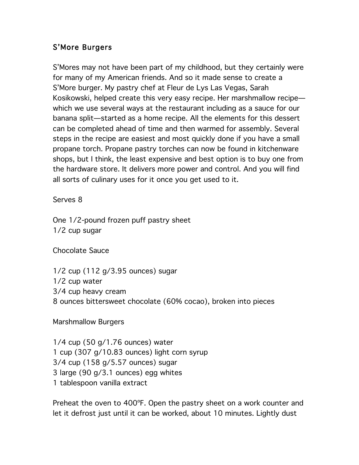## S'More Burgers

S'Mores may not have been part of my childhood, but they certainly were for many of my American friends. And so it made sense to create a S'More burger. My pastry chef at Fleur de Lys Las Vegas, Sarah Kosikowski, helped create this very easy recipe. Her marshmallow recipe which we use several ways at the restaurant including as a sauce for our banana split—started as a home recipe. All the elements for this dessert can be completed ahead of time and then warmed for assembly. Several steps in the recipe are easiest and most quickly done if you have a small propane torch. Propane pastry torches can now be found in kitchenware shops, but I think, the least expensive and best option is to buy one from the hardware store. It delivers more power and control. And you will find all sorts of culinary uses for it once you get used to it.

Serves 8

One 1/2-pound frozen puff pastry sheet 1/2 cup sugar

Chocolate Sauce

1/2 cup (112 g/3.95 ounces) sugar 1/2 cup water 3/4 cup heavy cream 8 ounces bittersweet chocolate (60% cocao), broken into pieces

Marshmallow Burgers

1/4 cup (50 g/1.76 ounces) water 1 cup (307 g/10.83 ounces) light corn syrup 3/4 cup (158 g/5.57 ounces) sugar 3 large (90 g/3.1 ounces) egg whites 1 tablespoon vanilla extract

Preheat the oven to 400ºF. Open the pastry sheet on a work counter and let it defrost just until it can be worked, about 10 minutes. Lightly dust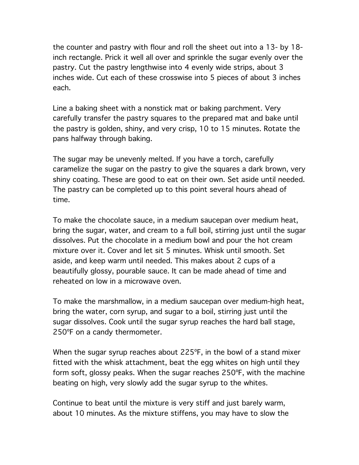the counter and pastry with flour and roll the sheet out into a 13- by 18 inch rectangle. Prick it well all over and sprinkle the sugar evenly over the pastry. Cut the pastry lengthwise into 4 evenly wide strips, about 3 inches wide. Cut each of these crosswise into 5 pieces of about 3 inches each.

Line a baking sheet with a nonstick mat or baking parchment. Very carefully transfer the pastry squares to the prepared mat and bake until the pastry is golden, shiny, and very crisp, 10 to 15 minutes. Rotate the pans halfway through baking.

The sugar may be unevenly melted. If you have a torch, carefully caramelize the sugar on the pastry to give the squares a dark brown, very shiny coating. These are good to eat on their own. Set aside until needed. The pastry can be completed up to this point several hours ahead of time.

To make the chocolate sauce, in a medium saucepan over medium heat, bring the sugar, water, and cream to a full boil, stirring just until the sugar dissolves. Put the chocolate in a medium bowl and pour the hot cream mixture over it. Cover and let sit 5 minutes. Whisk until smooth. Set aside, and keep warm until needed. This makes about 2 cups of a beautifully glossy, pourable sauce. It can be made ahead of time and reheated on low in a microwave oven.

To make the marshmallow, in a medium saucepan over medium-high heat, bring the water, corn syrup, and sugar to a boil, stirring just until the sugar dissolves. Cook until the sugar syrup reaches the hard ball stage, 250ºF on a candy thermometer.

When the sugar syrup reaches about 225ºF, in the bowl of a stand mixer fitted with the whisk attachment, beat the egg whites on high until they form soft, glossy peaks. When the sugar reaches 250ºF, with the machine beating on high, very slowly add the sugar syrup to the whites.

Continue to beat until the mixture is very stiff and just barely warm, about 10 minutes. As the mixture stiffens, you may have to slow the